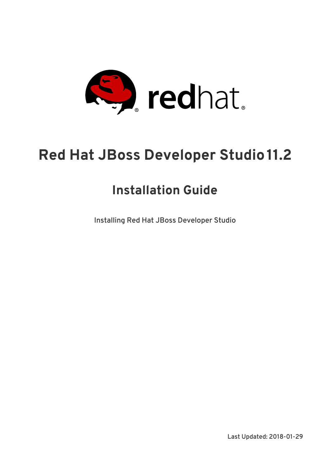

# **Red Hat JBoss Developer Studio11.2**

# **Installation Guide**

Installing Red Hat JBoss Developer Studio

Last Updated: 2018-01-29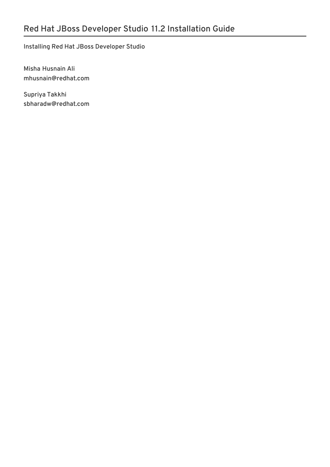#### Installing Red Hat JBoss Developer Studio

Misha Husnain Ali mhusnain@redhat.com

Supriya Takkhi sbharadw@redhat.com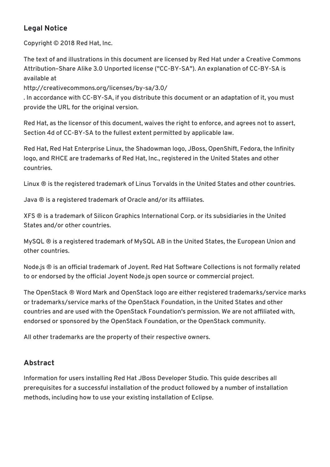### **Legal Notice**

Copyright © 2018 Red Hat, Inc.

The text of and illustrations in this document are licensed by Red Hat under a Creative Commons Attribution–Share Alike 3.0 Unported license ("CC-BY-SA"). An explanation of CC-BY-SA is available at

http://creativecommons.org/licenses/by-sa/3.0/

. In accordance with CC-BY-SA, if you distribute this document or an adaptation of it, you must provide the URL for the original version.

Red Hat, as the licensor of this document, waives the right to enforce, and agrees not to assert, Section 4d of CC-BY-SA to the fullest extent permitted by applicable law.

Red Hat, Red Hat Enterprise Linux, the Shadowman logo, JBoss, OpenShift, Fedora, the Infinity logo, and RHCE are trademarks of Red Hat, Inc., registered in the United States and other countries.

Linux ® is the registered trademark of Linus Torvalds in the United States and other countries.

Java ® is a registered trademark of Oracle and/or its affiliates.

XFS ® is a trademark of Silicon Graphics International Corp. or its subsidiaries in the United States and/or other countries.

MySQL ® is a registered trademark of MySQL AB in the United States, the European Union and other countries.

Node.js ® is an official trademark of Joyent. Red Hat Software Collections is not formally related to or endorsed by the official Joyent Node.js open source or commercial project.

The OpenStack ® Word Mark and OpenStack logo are either registered trademarks/service marks or trademarks/service marks of the OpenStack Foundation, in the United States and other countries and are used with the OpenStack Foundation's permission. We are not affiliated with, endorsed or sponsored by the OpenStack Foundation, or the OpenStack community.

All other trademarks are the property of their respective owners.

### **Abstract**

Information for users installing Red Hat JBoss Developer Studio. This guide describes all prerequisites for a successful installation of the product followed by a number of installation methods, including how to use your existing installation of Eclipse.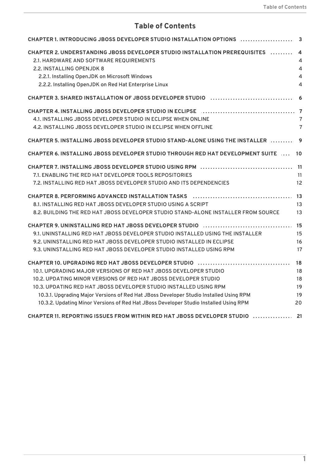### **Table of Contents**

| CHAPTER 2. UNDERSTANDING JBOSS DEVELOPER STUDIO INSTALLATION PREREQUISITES  4      |
|------------------------------------------------------------------------------------|
|                                                                                    |
|                                                                                    |
|                                                                                    |
|                                                                                    |
|                                                                                    |
|                                                                                    |
|                                                                                    |
|                                                                                    |
|                                                                                    |
| CHAPTER 5. INSTALLING JBOSS DEVELOPER STUDIO STAND-ALONE USING THE INSTALLER  9    |
|                                                                                    |
| CHAPTER 6. INSTALLING JBOSS DEVELOPER STUDIO THROUGH RED HAT DEVELOPMENT SUITE  10 |
|                                                                                    |
|                                                                                    |
| 12                                                                                 |
| 13                                                                                 |
| 13                                                                                 |
| 13                                                                                 |
|                                                                                    |
|                                                                                    |
| 15                                                                                 |
|                                                                                    |
| 17                                                                                 |
|                                                                                    |
| 18                                                                                 |
|                                                                                    |
|                                                                                    |
| 19                                                                                 |
| 20                                                                                 |
| CHAPTER 11. REPORTING ISSUES FROM WITHIN RED HAT JBOSS DEVELOPER STUDIO  21        |
|                                                                                    |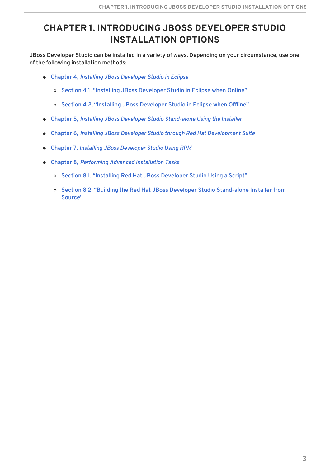## <span id="page-6-0"></span>**CHAPTER 1. INTRODUCING JBOSS DEVELOPER STUDIO INSTALLATION OPTIONS**

JBoss Developer Studio can be installed in a variety of ways. Depending on your circumstance, use one of the following installation methods:

- Chapter 4, *Installing JBoss [Developer](#page-10-0) Studio in Eclipse*
	- Section 4.1, "Installing JBoss [Developer](#page-10-1) Studio in Eclipse when Online"
	- Section 4.2, "Installing JBoss [Developer](#page-11-0) Studio in Eclipse when Offline"
- Chapter 5, *Installing JBoss Developer Studio [Stand-alone](#page-12-0) Using the Installer*
- Chapter 6, *Installing JBoss Developer Studio through Red Hat [Development](#page-13-0) Suite*
- Chapter 7, *Installing JBoss [Developer](#page-14-0) Studio Using RPM*
- Chapter 8, *[Performing](#page-16-0) Advanced Installation Tasks*
	- Section 8.1, "Installing Red Hat JBoss [Developer](#page-16-1) Studio Using a Script"
	- Section 8.2, "Building the Red Hat JBoss Developer Studio [Stand-alone](#page-17-0) Installer from Source"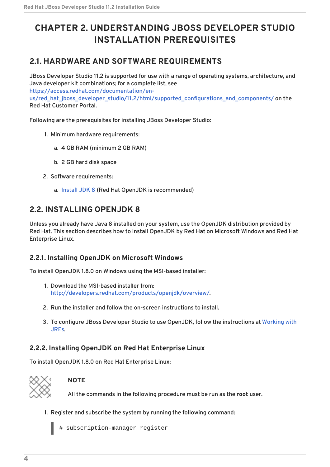## <span id="page-7-0"></span>**CHAPTER 2. UNDERSTANDING JBOSS DEVELOPER STUDIO INSTALLATION PREREQUISITES**

### <span id="page-7-1"></span>**2.1. HARDWARE AND SOFTWARE REQUIREMENTS**

JBoss Developer Studio 11.2 is supported for use with a range of operating systems, architecture, and Java developer kit combinations; for a complete list, see https://access.redhat.com/documentation/en[us/red\\_hat\\_jboss\\_developer\\_studio/11.2/html/supported\\_configurations\\_and\\_components/](https://access.redhat.com/documentation/en-us/red_hat_jboss_developer_studio/11.2/html/supported_configurations_and_components/) on the Red Hat Customer Portal.

Following are the prerequisites for installing JBoss Developer Studio:

- 1. Minimum hardware requirements:
	- a. 4 GB RAM (minimum 2 GB RAM)
	- b. 2 GB hard disk space
- 2. Software requirements:
	- a. [Install](#page-8-0) JDK 8 (Red Hat OpenJDK is recommended)

## <span id="page-7-2"></span>**2.2. INSTALLING OPENJDK 8**

Unless you already have Java 8 installed on your system, use the OpenJDK distribution provided by Red Hat. This section describes how to install OpenJDK by Red Hat on Microsoft Windows and Red Hat Enterprise Linux.

#### <span id="page-7-3"></span>**2.2.1. Installing OpenJDK on Microsoft Windows**

To install OpenJDK 1.8.0 on Windows using the MSI-based installer:

- 1. Download the MSI-based installer from: [http://developers.redhat.com/products/openjdk/overview/.](http://developers.redhat.com/products/openjdk/overview/)
- 2. Run the installer and follow the on-screen instructions to install.
- 3. To configure JBoss Developer Studio to use OpenJDK, follow the [instructions](http://help.eclipse.org/mars/index.jsp?topic=%2Forg.eclipse.jdt.doc.user%2Ftasks%2Ftasks-JREs.htm&cp=1_3_5) at Working with JREs.

#### <span id="page-7-4"></span>**2.2.2. Installing OpenJDK on Red Hat Enterprise Linux**

To install OpenJDK 1.8.0 on Red Hat Enterprise Linux:



#### **NOTE**

All the commands in the following procedure must be run as the **root** user.

1. Register and subscribe the system by running the following command:

```
# subscription-manager register
```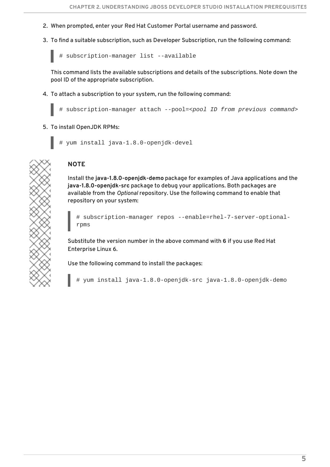- <span id="page-8-0"></span>2. When prompted, enter your Red Hat Customer Portal username and password.
- 3. To find a suitable subscription, such as Developer Subscription, run the following command:

# subscription-manager list --available

This command lists the available subscriptions and details of the subscriptions. Note down the pool ID of the appropriate subscription.

4. To attach a subscription to your system, run the following command:

# subscription-manager attach --pool=*<pool ID from previous command>*

- 5. To install OpenJDK RPMs:
	- # yum install java-1.8.0-openjdk-devel

### **NOTE**

Install the **java-1.8.0-openjdk-demo** package for examples of Java applications and the **java-1.8.0-openjdk-src** package to debug your applications. Both packages are available from the *Optional* repository. Use the following command to enable that repository on your system:

# subscription-manager repos --enable=rhel-7-server-optionalrpms

Substitute the version number in the above command with **6** if you use Red Hat Enterprise Linux 6.

Use the following command to install the packages:

# yum install java-1.8.0-openjdk-src java-1.8.0-openjdk-demo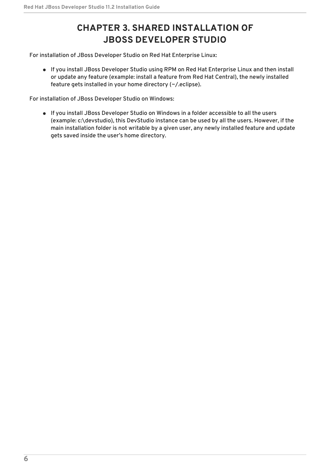## **CHAPTER 3. SHARED INSTALLATION OF JBOSS DEVELOPER STUDIO**

<span id="page-9-0"></span>For installation of JBoss Developer Studio on Red Hat Enterprise Linux:

If you install JBoss Developer Studio using RPM on Red Hat Enterprise Linux and then install or update any feature (example: install a feature from Red Hat Central), the newly installed feature gets installed in your home directory (~/.eclipse).

For installation of JBoss Developer Studio on Windows:

If you install JBoss Developer Studio on Windows in a folder accessible to all the users (example: c:\devstudio), this DevStudio instance can be used by all the users. However, if the main installation folder is not writable by a given user, any newly installed feature and update gets saved inside the user's home directory.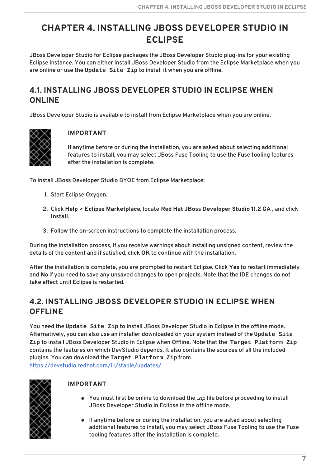## <span id="page-10-0"></span>**CHAPTER 4. INSTALLING JBOSS DEVELOPER STUDIO IN ECLIPSE**

JBoss Developer Studio for Eclipse packages the JBoss Developer Studio plug-ins for your existing Eclipse instance. You can either install JBoss Developer Studio from the Eclipse Marketplace when you are online or use the **Update Site Zip** to install it when you are offline.

## <span id="page-10-1"></span>**4.1. INSTALLING JBOSS DEVELOPER STUDIO IN ECLIPSE WHEN ONLINE**

JBoss Developer Studio is available to install from Eclipse Marketplace when you are online.



#### **IMPORTANT**

If anytime before or during the installation, you are asked about selecting additional features to install, you may select JBoss Fuse Tooling to use the Fuse tooling features after the installation is complete.

To install JBoss Developer Studio BYOE from Eclipse Marketplace:

- 1. Start Eclipse Oxygen.
- 2. Click **Help** > **Eclipse Marketplace**, locate **Red Hat JBoss Developer Studio 11.2 GA** , and click **Install**.
- 3. Follow the on-screen instructions to complete the installation process.

During the installation process, if you receive warnings about installing unsigned content, review the details of the content and if satisfied, click **OK** to continue with the installation.

After the installation is complete, you are prompted to restart Eclipse. Click **Yes** to restart immediately and **No** if you need to save any unsaved changes to open projects. Note that the IDE changes do not take effect until Eclipse is restarted.

## <span id="page-10-2"></span>**4.2. INSTALLING JBOSS DEVELOPER STUDIO IN ECLIPSE WHEN OFFLINE**

You need the **Update Site Zip** to install JBoss Developer Studio in Eclipse in the offline mode. Alternatively, you can also use an installer downloaded on your system instead of the **Update Site Zip** to install JBoss Developer Studio in Eclipse when Offline. Note that the **Target Platform Zip** contains the features on which DevStudio depends. It also contains the sources of all the included plugins. You can download the **Target Platform Zip** from <https://devstudio.redhat.com/11/stable/updates/>.



#### **IMPORTANT**

- You must first be online to download the *.zip* file before proceeding to install JBoss Developer Studio in Eclipse in the offline mode.
- If anytime before or during the installation, you are asked about selecting additional features to install, you may select JBoss Fuse Tooling to use the Fuse tooling features after the installation is complete.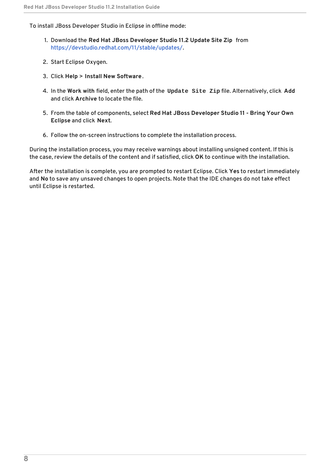#### <span id="page-11-0"></span>To install JBoss Developer Studio in Eclipse in offline mode:

- 1. Download the **Red Hat JBoss Developer Studio 11.2 Update Site Zip** from [https://devstudio.redhat.com/11/stable/updates/.](https://devstudio.redhat.com/11/stable/updates/)
- 2. Start Eclipse Oxygen.
- 3. Click **Help** > **Install New Software**.
- 4. In the **Work with** field, enter the path of the **Update Site Zip** file. Alternatively, click **Add** and click **Archive** to locate the file.
- 5. From the table of components, select **Red Hat JBoss Developer Studio 11 - Bring Your Own Eclipse** and click **Next**.
- 6. Follow the on-screen instructions to complete the installation process.

During the installation process, you may receive warnings about installing unsigned content. If this is the case, review the details of the content and if satisfied, click **OK** to continue with the installation.

After the installation is complete, you are prompted to restart Eclipse. Click **Yes** to restart immediately and **No** to save any unsaved changes to open projects. Note that the IDE changes do not take effect until Eclipse is restarted.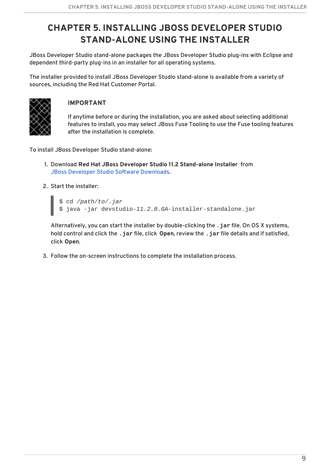## <span id="page-12-0"></span>**CHAPTER 5. INSTALLING JBOSS DEVELOPER STUDIO STAND-ALONE USING THE INSTALLER**

JBoss Developer Studio stand-alone packages the JBoss Developer Studio plug-ins with Eclipse and dependent third-party plug-ins in an installer for all operating systems.

The installer provided to install JBoss Developer Studio stand-alone is available from a variety of sources, including the Red Hat Customer Portal.



#### **IMPORTANT**

If anytime before or during the installation, you are asked about selecting additional features to install, you may select JBoss Fuse Tooling to use the Fuse tooling features after the installation is complete.

To install JBoss Developer Studio stand-alone:

- 1. Download **Red Hat JBoss Developer Studio 11.2 Stand-alone Installer** from JBoss Developer Studio Software [Downloads.](https://access.redhat.com/jbossnetwork/restricted/listSoftware.html?product=jbossdeveloperstudio&downloadType=distributions)
- 2. Start the installer:

\$ cd */path/to/.jar* \$ java -jar devstudio-*11.2.0.GA*-installer-standalone.jar

Alternatively, you can start the installer by double-clicking the **.jar** file. On OS X systems, hold control and click the **.jar** file, click **Open**, review the **.jar** file details and if satisfied, click **Open**.

3. Follow the on-screen instructions to complete the installation process.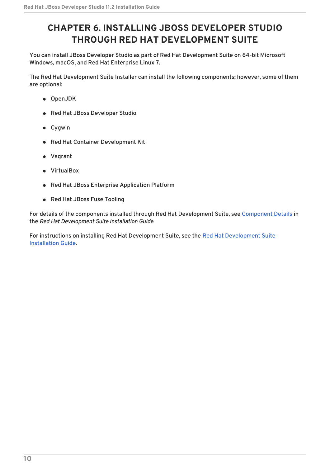## <span id="page-13-0"></span>**CHAPTER 6. INSTALLING JBOSS DEVELOPER STUDIO THROUGH RED HAT DEVELOPMENT SUITE**

You can install JBoss Developer Studio as part of Red Hat Development Suite on 64-bit Microsoft Windows, macOS, and Red Hat Enterprise Linux 7.

The Red Hat Development Suite Installer can install the following components; however, some of them are optional:

- OpenJDK
- Red Hat JBoss Developer Studio
- Cygwin
- Red Hat Container Development Kit
- Vagrant
- VirtualBox
- Red Hat JBoss Enterprise Application Platform
- Red Hat JBoss Fuse Tooling

For details of the components installed through Red Hat Development Suite, see [Component](https://access.redhat.com/documentation/en-us/red_hat_development_suite/2.2/html-single/installation_guide/#red_hat_development_suite_component_details) Details in the *Red Hat Development Suite Installation Guide*.

For instructions on installing Red Hat Development Suite, see the Red Hat [Development](https://access.redhat.com/documentation/en-us/red_hat_development_suite/2.2/html-single/installation_guide/) Suite Installation Guide.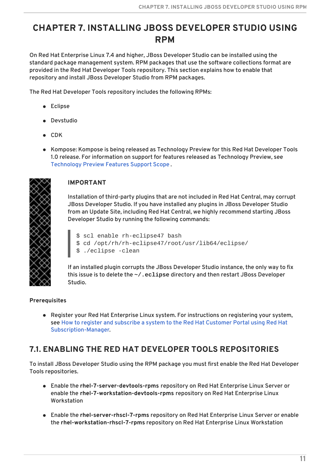## <span id="page-14-0"></span>**CHAPTER 7. INSTALLING JBOSS DEVELOPER STUDIO USING RPM**

On Red Hat Enterprise Linux 7.4 and higher, JBoss Developer Studio can be installed using the standard package management system. RPM packages that use the software collections format are provided in the Red Hat Developer Tools repository. This section explains how to enable that repository and install JBoss Developer Studio from RPM packages.

The Red Hat Developer Tools repository includes the following RPMs:

- **•** Eclipse
- **•** Devstudio
- CDK
- Kompose: Kompose is being released as Technology Preview for this Red Hat Developer Tools 1.0 release. For information on support for features released as Technology Preview, see [Technology](https://access.redhat.com/support/offerings/techpreview) Preview Features Support Scope .



#### **IMPORTANT**

Installation of third-party plugins that are not included in Red Hat Central, may corrupt JBoss Developer Studio. If you have installed any plugins in JBoss Developer Studio from an Update Site, including Red Hat Central, we highly recommend starting JBoss Developer Studio by running the following commands:

\$ scl enable rh-eclipse47 bash \$ cd /opt/rh/rh-eclipse47/root/usr/lib64/eclipse/ \$ ./eclipse -clean

If an installed plugin corrupts the JBoss Developer Studio instance, the only way to fix this issue is to delete the **~/.eclipse** directory and then restart JBoss Developer Studio.

#### **Prerequisites**

Register your Red Hat Enterprise Linux system. For instructions on registering your system, see How to register and subscribe a system to the Red Hat Customer Portal using Red Hat [Subscription-Manager.](https://access.redhat.com/solutions/253273)

## <span id="page-14-1"></span>**7.1. ENABLING THE RED HAT DEVELOPER TOOLS REPOSITORIES**

To install JBoss Developer Studio using the RPM package you must first enable the Red Hat Developer Tools repositories.

- Enable the **rhel-7-server-devtools-rpms** repository on Red Hat Enterprise Linux Server or enable the **rhel-7-workstation-devtools-rpms** repository on Red Hat Enterprise Linux **Workstation**
- Enable the **rhel-server-rhscl-7-rpms** repository on Red Hat Enterprise Linux Server or enable the **rhel-workstation-rhscl-7-rpms** repository on Red Hat Enterprise Linux Workstation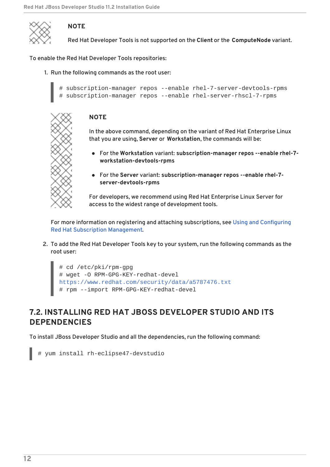

#### **NOTE**

Red Hat Developer Tools is not supported on the **Client** or the **ComputeNode** variant.

To enable the Red Hat Developer Tools repositories:

1. Run the following commands as the root user:

```
# subscription-manager repos --enable rhel-7-server-devtools-rpms
# subscription-manager repos --enable rhel-server-rhscl-7-rpms
```


#### **NOTE**

In the above command, depending on the variant of Red Hat Enterprise Linux that you are using, **Server** or **Workstation**, the commands will be:

- For the **Workstation** variant: **subscription-manager repos --enable rhel-7 workstation-devtools-rpms**
- For the **Server** variant: **subscription-manager repos --enable rhel-7 server-devtools-rpms**

For developers, we recommend using Red Hat Enterprise Linux Server for access to the widest range of development tools.

For more information on registering and attaching [subscriptions,](https://access.redhat.com/documentation/en-us/red_hat_subscription_management/1/html/rhsm/registering-machine-ui) see Using and Configuring Red Hat Subscription Management.

2. To add the Red Hat Developer Tools key to your system, run the following commands as the root user:

```
# cd /etc/pki/rpm-gpg
# wget -O RPM-GPG-KEY-redhat-devel
https://www.redhat.com/security/data/a5787476.txt
# rpm --import RPM-GPG-KEY-redhat-devel
```
### <span id="page-15-0"></span>**7.2. INSTALLING RED HAT JBOSS DEVELOPER STUDIO AND ITS DEPENDENCIES**

To install JBoss Developer Studio and all the dependencies, run the following command:

# yum install rh-eclipse47-devstudio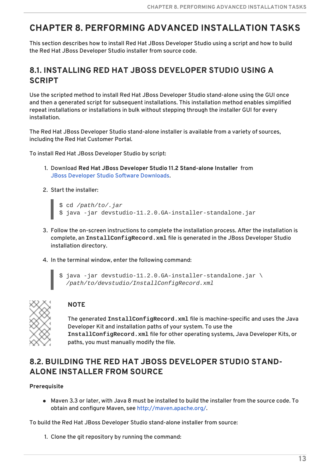## <span id="page-16-0"></span>**CHAPTER 8. PERFORMING ADVANCED INSTALLATION TASKS**

This section describes how to install Red Hat JBoss Developer Studio using a script and how to build the Red Hat JBoss Developer Studio installer from source code.

## <span id="page-16-1"></span>**8.1. INSTALLING RED HAT JBOSS DEVELOPER STUDIO USING A SCRIPT**

Use the scripted method to install Red Hat JBoss Developer Studio stand-alone using the GUI once and then a generated script for subsequent installations. This installation method enables simplified repeat installations or installations in bulk without stepping through the installer GUI for every installation.

The Red Hat JBoss Developer Studio stand-alone installer is available from a variety of sources, including the Red Hat Customer Portal.

To install Red Hat JBoss Developer Studio by script:

- 1. Download **Red Hat JBoss Developer Studio 11.2 Stand-alone Installer** from JBoss Developer Studio Software [Downloads.](https://access.redhat.com/jbossnetwork/restricted/listSoftware.html?product=jbossdeveloperstudio&downloadType=distributions)
- 2. Start the installer:
	- \$ cd */path/to/.jar*

\$ java -jar devstudio-11.2.0.GA-installer-standalone.jar

- 3. Follow the on-screen instructions to complete the installation process. After the installation is complete, an **InstallConfigRecord.xml** file is generated in the JBoss Developer Studio installation directory.
- 4. In the terminal window, enter the following command:



\$ java -jar devstudio-11.2.0.GA-installer-standalone.jar \ */path/to/devstudio/InstallConfigRecord.xml*



#### **NOTE**

The generated **InstallConfigRecord.xml** file is machine-specific and uses the Java Developer Kit and installation paths of your system. To use the **InstallConfigRecord.xml** file for other operating systems, Java Developer Kits, or paths, you must manually modify the file.

## <span id="page-16-2"></span>**8.2. BUILDING THE RED HAT JBOSS DEVELOPER STUDIO STAND-ALONE INSTALLER FROM SOURCE**

**Prerequisite**

Maven 3.3 or later, with Java 8 must be installed to build the installer from the source code. To obtain and configure Maven, see [http://maven.apache.org/.](http://maven.apache.org/)

To build the Red Hat JBoss Developer Studio stand-alone installer from source:

1. Clone the git repository by running the command: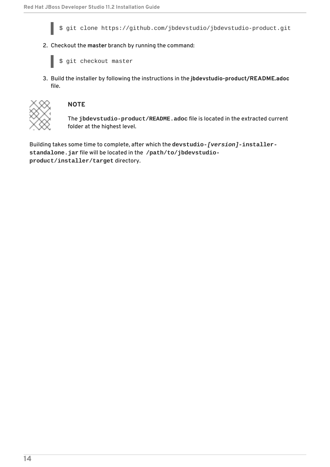<span id="page-17-0"></span>\$ git clone https://github.com/jbdevstudio/jbdevstudio-product.git

- 2. Checkout the **master** branch by running the command:
	- \$ git checkout master
- 3. Build the installer by following the instructions in the **jbdevstudio-product/README.adoc** file.



#### **NOTE**

The **jbdevstudio-product/README.adoc** file is located in the extracted current folder at the highest level.

Building takes some time to complete, after which the **devstudio-***[version]***-installerstandalone.jar** file will be located in the **/path/to/jbdevstudioproduct/installer/target** directory.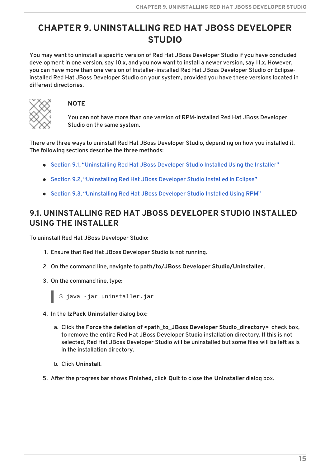## <span id="page-18-0"></span>**CHAPTER 9. UNINSTALLING RED HAT JBOSS DEVELOPER STUDIO**

You may want to uninstall a specific version of Red Hat JBoss Developer Studio if you have concluded development in one version, say 10.x, and you now want to install a newer version, say 11.x. However, you can have more than one version of Installer-installed Red Hat JBoss Developer Studio or Eclipseinstalled Red Hat JBoss Developer Studio on your system, provided you have these versions located in different directories.



#### **NOTE**

You can not have more than one version of RPM-installed Red Hat JBoss Developer Studio on the same system.

There are three ways to uninstall Red Hat JBoss Developer Studio, depending on how you installed it. The following sections describe the three methods:

- Section 9.1, ["Uninstalling](#page-18-1) Red Hat JBoss Developer Studio Installed Using the Installer"
- Section 9.2, ["Uninstalling](#page-19-0) Red Hat JBoss Developer Studio Installed in Eclipse"
- Section 9.3, ["Uninstalling](#page-20-0) Red Hat JBoss Developer Studio Installed Using RPM"

### <span id="page-18-1"></span>**9.1. UNINSTALLING RED HAT JBOSS DEVELOPER STUDIO INSTALLED USING THE INSTALLER**

To uninstall Red Hat JBoss Developer Studio:

- 1. Ensure that Red Hat JBoss Developer Studio is not running.
- 2. On the command line, navigate to **path/to/JBoss Developer Studio/Uninstaller**.
- 3. On the command line, type:

\$ java -jar uninstaller.jar

- 4. In the **IzPack Uninstaller** dialog box:
	- a. Click the **Force the deletion of <path\_to\_JBoss Developer Studio\_directory>** check box, to remove the entire Red Hat JBoss Developer Studio installation directory. If this is not selected, Red Hat JBoss Developer Studio will be uninstalled but some files will be left as is in the installation directory.
	- b. Click **Uninstall**.
- 5. After the progress bar shows **Finished**, click **Quit** to close the **Uninstaller** dialog box.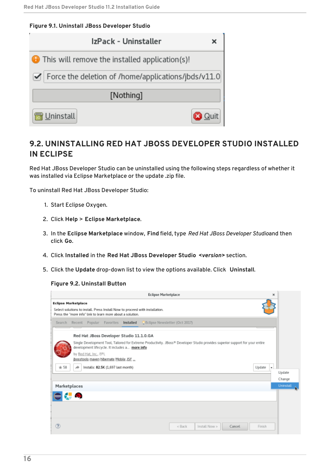



## <span id="page-19-0"></span>**9.2. UNINSTALLING RED HAT JBOSS DEVELOPER STUDIO INSTALLED IN ECLIPSE**

Red Hat JBoss Developer Studio can be uninstalled using the following steps regardless of whether it was installed via Eclipse Marketplace or the update .zip file.

To uninstall Red Hat JBoss Developer Studio:

- 1. Start Eclipse Oxygen.
- 2. Click **Help** > **Eclipse Marketplace**.
- 3. In the **Eclipse Marketplace** window, **Find** field, type *Red Hat JBoss Developer Studio*and then click **Go**.
- 4. Click **Installed** in the **Red Hat JBoss Developer Studio** *<version>* section.
- 5. Click the **Update** drop-down list to view the options available. Click **Uninstall**.

**Figure 9.2. Uninstall Button**

|                            |                                                                                                                                                                                 | Eclipse Marketplace |  | ×                                   |           |
|----------------------------|---------------------------------------------------------------------------------------------------------------------------------------------------------------------------------|---------------------|--|-------------------------------------|-----------|
| <b>Eclipse Marketplace</b> | Select solutions to install. Press Install Now to proceed with installation.<br>Press the "more info" link to learn more about a solution.                                      |                     |  |                                     |           |
|                            | Search Recent Popular Favorites Installed CEclipse-Newsletter (Oct 2017)                                                                                                        |                     |  |                                     |           |
|                            | Red Hat JBoss Developer Studio 11.1.0.GA                                                                                                                                        |                     |  |                                     |           |
|                            | Single Development Tool, Tailored for Extreme Productivity. JBoss® Developer Studio provides superior support for your entire<br>development lifecycle. It includes a more info |                     |  |                                     |           |
| by Red Hat, Inc., EPL      | Dosstools maven hibernate Mobile JSF                                                                                                                                            |                     |  |                                     |           |
| ★ 58<br>×                  | Installs: 82.5K (1,697 last month)                                                                                                                                              |                     |  | Update<br>$\boldsymbol{\mathrm{w}}$ | Update    |
|                            |                                                                                                                                                                                 |                     |  |                                     | Change    |
| Marketplaces               |                                                                                                                                                                                 |                     |  |                                     | Uninstall |
| 1. Q                       |                                                                                                                                                                                 |                     |  |                                     |           |
|                            |                                                                                                                                                                                 |                     |  |                                     |           |
|                            |                                                                                                                                                                                 |                     |  |                                     |           |
| ℗                          |                                                                                                                                                                                 |                     |  |                                     |           |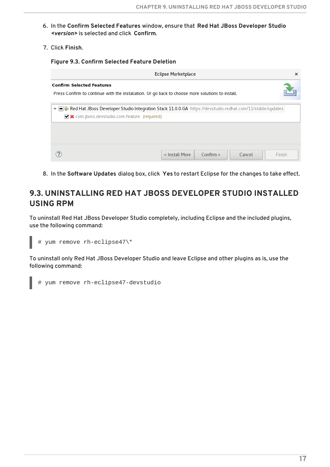- 6. In the **Confirm Selected Features** window, ensure that **Red Hat JBoss Developer Studio** *<version>* is selected and click **Confirm**.
- 7. Click **Finish**.

**Figure 9.3. Confirm Selected Feature Deletion**

|                                                 | Eclipse Marketplace                                                                                       | ×      |
|-------------------------------------------------|-----------------------------------------------------------------------------------------------------------|--------|
| <b>Confirm Selected Features</b>                | Press Confirm to continue with the installation. Or go back to choose more solutions to install.          |        |
| √ X com.jboss.devstudio.core.feature (required) | Red Hat JBoss Developer Studio Integration Stack 11.0.0.GA https://devstudio.redhat.com/11/stable/updates |        |
|                                                 |                                                                                                           |        |
|                                                 | < Install More<br>Confirm<br>Cancel                                                                       | Finish |

8. In the **Software Updates** dialog box, click **Yes** to restart Eclipse for the changes to take effect.

### <span id="page-20-0"></span>**9.3. UNINSTALLING RED HAT JBOSS DEVELOPER STUDIO INSTALLED USING RPM**

To uninstall Red Hat JBoss Developer Studio completely, including Eclipse and the included plugins, use the following command:

# yum remove rh-eclipse47\\*

To uninstall only Red Hat JBoss Developer Studio and leave Eclipse and other plugins as is, use the following command:

# yum remove rh-eclipse47-devstudio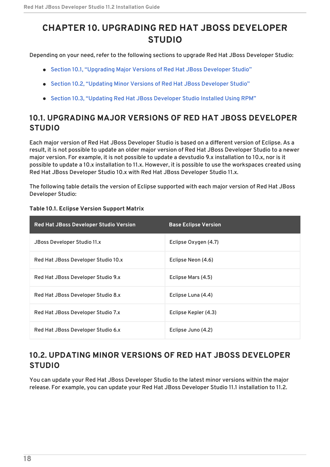## <span id="page-21-0"></span>**CHAPTER 10. UPGRADING RED HAT JBOSS DEVELOPER STUDIO**

Depending on your need, refer to the following sections to upgrade Red Hat JBoss Developer Studio:

- Section 10.1, ["Upgrading](#page-21-1) Major Versions of Red Hat JBoss Developer Studio"
- Section 10.2, "Updating Minor Versions of Red Hat JBoss [Developer](#page-22-2) Studio"
- Section 10.3, "Updating Red Hat JBoss [Developer](#page-22-0) Studio Installed Using RPM"

## <span id="page-21-1"></span>**10.1. UPGRADING MAJOR VERSIONS OF RED HAT JBOSS DEVELOPER STUDIO**

Each major version of Red Hat JBoss Developer Studio is based on a different version of Eclipse. As a result, it is not possible to update an older major version of Red Hat JBoss Developer Studio to a newer major version. For example, it is not possible to update a devstudio 9.x installation to 10.x, nor is it possible to update a 10.x installation to 11.x. However, it is possible to use the workspaces created using Red Hat JBoss Developer Studio 10.x with Red Hat JBoss Developer Studio 11.x.

The following table details the version of Eclipse supported with each major version of Red Hat JBoss Developer Studio:

| Red Hat JBoss Developer Studio Version | <b>Base Eclipse Version</b> |
|----------------------------------------|-----------------------------|
| JBoss Developer Studio 11.x            | Eclipse Oxygen (4.7)        |
| Red Hat JBoss Developer Studio 10.x    | Eclipse Neon (4.6)          |
| Red Hat JBoss Developer Studio 9.x     | Eclipse Mars (4.5)          |
| Red Hat JBoss Developer Studio 8.x     | Eclipse Luna (4.4)          |
| Red Hat JBoss Developer Studio 7.x     | Eclipse Kepler (4.3)        |
| Red Hat JBoss Developer Studio 6.x     | Eclipse Juno (4.2)          |

#### **Table 10.1. Eclipse Version Support Matrix**

## <span id="page-21-2"></span>**10.2. UPDATING MINOR VERSIONS OF RED HAT JBOSS DEVELOPER STUDIO**

You can update your Red Hat JBoss Developer Studio to the latest minor versions within the major release. For example, you can update your Red Hat JBoss Developer Studio 11.1 installation to 11.2.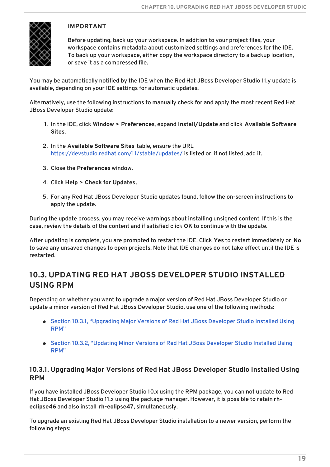<span id="page-22-2"></span>

#### **IMPORTANT**

Before updating, back up your workspace. In addition to your project files, your workspace contains metadata about customized settings and preferences for the IDE. To back up your workspace, either copy the workspace directory to a backup location, or save it as a compressed file.

You may be automatically notified by the IDE when the Red Hat JBoss Developer Studio 11.y update is available, depending on your IDE settings for automatic updates.

Alternatively, use the following instructions to manually check for and apply the most recent Red Hat JBoss Developer Studio update:

- 1. In the IDE, click **Window** > **Preferences**, expand **Install/Update** and click **Available Software Sites**.
- 2. In the **Available Software Sites** table, ensure the URL <https://devstudio.redhat.com/11/stable/updates/> is listed or, if not listed, add it.
- 3. Close the **Preferences** window.
- 4. Click **Help** > **Check for Updates**.
- 5. For any Red Hat JBoss Developer Studio updates found, follow the on-screen instructions to apply the update.

During the update process, you may receive warnings about installing unsigned content. If this is the case, review the details of the content and if satisfied click **OK** to continue with the update.

After updating is complete, you are prompted to restart the IDE. Click **Yes** to restart immediately or **No** to save any unsaved changes to open projects. Note that IDE changes do not take effect until the IDE is restarted.

## <span id="page-22-0"></span>**10.3. UPDATING RED HAT JBOSS DEVELOPER STUDIO INSTALLED USING RPM**

Depending on whether you want to upgrade a major version of Red Hat JBoss Developer Studio or update a minor version of Red Hat JBoss Developer Studio, use one of the following methods:

- Section 10.3.1, ["Upgrading](#page-22-1) Major Versions of Red Hat JBoss Developer Studio Installed Using RPM"
- Section 10.3.2, "Updating Minor Versions of Red Hat JBoss [Developer](#page-23-0) Studio Installed Using RPM"

#### <span id="page-22-1"></span>**10.3.1. Upgrading Major Versions of Red Hat JBoss Developer Studio Installed Using RPM**

If you have installed JBoss Developer Studio 10.x using the RPM package, you can not update to Red Hat JBoss Developer Studio 11.x using the package manager. However, it is possible to retain **rheclipse46** and also install **rh-eclipse47**, simultaneously.

To upgrade an existing Red Hat JBoss Developer Studio installation to a newer version, perform the following steps: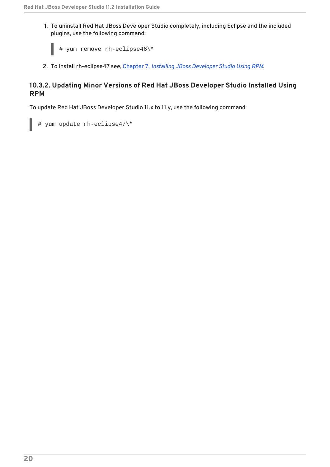1. To uninstall Red Hat JBoss Developer Studio completely, including Eclipse and the included plugins, use the following command:

# yum remove rh-eclipse46\\*

2. To install rh-eclipse47 see, Chapter 7, *Installing JBoss [Developer](#page-14-0) Studio Using RPM*.

#### <span id="page-23-0"></span>**10.3.2. Updating Minor Versions of Red Hat JBoss Developer Studio Installed Using RPM**

To update Red Hat JBoss Developer Studio 11.x to 11.y, use the following command:

# yum update rh-eclipse47\\*